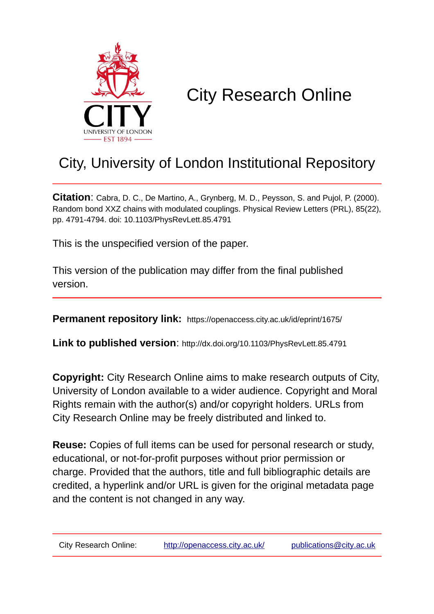

## City Research Online

## City, University of London Institutional Repository

**Citation**: Cabra, D. C., De Martino, A., Grynberg, M. D., Peysson, S. and Pujol, P. (2000). Random bond XXZ chains with modulated couplings. Physical Review Letters (PRL), 85(22), pp. 4791-4794. doi: 10.1103/PhysRevLett.85.4791

This is the unspecified version of the paper.

This version of the publication may differ from the final published version.

**Permanent repository link:** https://openaccess.city.ac.uk/id/eprint/1675/

**Link to published version**: http://dx.doi.org/10.1103/PhysRevLett.85.4791

**Copyright:** City Research Online aims to make research outputs of City, University of London available to a wider audience. Copyright and Moral Rights remain with the author(s) and/or copyright holders. URLs from City Research Online may be freely distributed and linked to.

**Reuse:** Copies of full items can be used for personal research or study, educational, or not-for-profit purposes without prior permission or charge. Provided that the authors, title and full bibliographic details are credited, a hyperlink and/or URL is given for the original metadata page and the content is not changed in any way.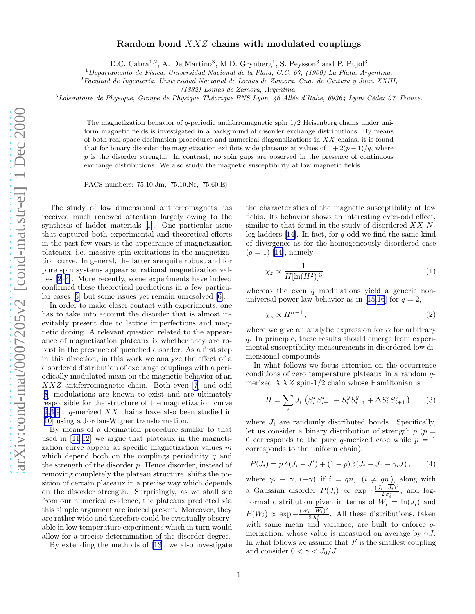## Random bond XXZ chains with modulated couplings

D.C. Cabra<sup>1,2</sup>, A. De Martino<sup>3</sup>, M.D. Grynberg<sup>1</sup>, S. Peysson<sup>3</sup> and P. Pujol<sup>3</sup>

<span id="page-1-0"></span> $1$ Departamento de Física, Universidad Nacional de la Plata, C.C. 67, (1900) La Plata, Argentina.

 ${}^{2}$ Facultad de Ingeniería, Universidad Nacional de Lomas de Zamora, Cno. de Cintura y Juan XXIII,

(1832) Lomas de Zamora, Argentina.

 $3$ Laboratoire de Physique, Groupe de Physique Théorique ENS Lyon, 46 Allée d'Italie, 69364 Lyon Cédex 07, France.

The magnetization behavior of q-periodic antiferromagnetic spin  $1/2$  Heisenberg chains under uniform magnetic fields is investigated in a background of disorder exchange distributions. By means of both real space decimation procedures and numerical diagonalizations in  $XX$  chains, it is found that for binary disorder the magnetization exhibits wide plateaux at values of  $1 + 2(p-1)/q$ , where  $p$  is the disorder strength. In contrast, no spin gaps are observed in the presence of continuous exchange distributions. We also study the magnetic susceptibility at low magnetic fields.

PACS numbers: 75.10.Jm, 75.10.Nr, 75.60.Ej.

The study of low dimensional antiferromagnets has received much renewed attention largely owing to the synthesis of ladder materials[[1\]](#page-3-0). One particular issue that captured both experimental and theoretical efforts in the past few years is the appearance of magnetization plateaux, i.e. massive spin excitations in the magnetization curve. In general, the latter are quite robust and for pure spin systems appear at rational magnetization values [\[2–4](#page-3-0)]. More recently, some experiments have indeed confirmed these theoretical predictions in a few particular cases[[5\]](#page-3-0) but some issues yet remain unresolved[[6\]](#page-3-0).

In order to make closer contact with experiments, one has to take into account the disorder that is almost inevitably present due to lattice imperfections and magnetic doping. A relevant question related to the appearance of magnetization plateaux is whether they are robust in the presence of quenched disorder. As a first step in this direction, in this work we analyze the effect of a disordered distribution of exchange couplings with a periodically modulated mean on the magnetic behavior of an XXZ antiferromagnetic chain. Both even [\[7](#page-3-0)] and odd [[8\]](#page-3-0) modulations are known to exist and are ultimately responsible for the structure of the magnetization curve [[2,3,9](#page-3-0)]. q-merized  $XX$  chains have also been studied in [[10\]](#page-3-0) using a Jordan-Wigner transformation.

By means of a decimation procedure similar to that used in[[11,12\]](#page-3-0) we argue that plateaux in the magnetization curve appear at specific magnetization values m which depend both on the couplings periodicity  $q$  and the strength of the disorder  $p$ . Hence disorder, instead of removing completely the plateau structure, shifts the position of certain plateaux in a precise way which depends on the disorder strength. Surprisingly, as we shall see from our numerical evidence, the plateaux predicted via this simple argument are indeed present. Moreover, they are rather wide and therefore could be eventually observable in low temperature experiments which in turn would allow for a precise determination of the disorder degree.

By extending the methods of [\[13](#page-3-0)], we also investigate

the characteristics of the magnetic susceptibility at low fields. Its behavior shows an interesting even-odd effect, similar to that found in the study of disordered  $XX$  Nleg ladders  $[14]$ . In fact, for q odd we find the same kind of divergence as for the homogeneously disordered case  $(q = 1)$  $(q = 1)$  $(q = 1)$  [[14\]](#page-3-0), namely

$$
\chi_z \propto \frac{1}{H[\ln(H^2)]^3},\tag{1}
$$

whereas the even  $q$  modulations yield a generic non-universalpower law behavior as in [[15,16](#page-3-0)] for  $q = 2$ ,

$$
\chi_z \propto H^{\alpha - 1},\tag{2}
$$

where we give an analytic expression for  $\alpha$  for arbitrary q. In principle, these results should emerge from experimental susceptibility measurements in disordered low dimensional compounds.

In what follows we focus attention on the occurrence conditions of zero temperature plateaux in a random qmerized  $XXZ$  spin-1/2 chain whose Hamiltonian is

$$
H = \sum_{i} J_i \left( S_i^x S_{i+1}^x + S_i^y S_{i+1}^y + \Delta S_i^z S_{i+1}^z \right) , \quad (3)
$$

where  $J_i$  are randomly distributed bonds. Specifically, let us consider a binary distribution of strength  $p(p =$ 0 corresponds to the pure q-merized case while  $p = 1$ corresponds to the uniform chain),

$$
P(J_i) = p \,\delta(J_i - J') + (1 - p) \,\delta(J_i - J_0 - \gamma_i J), \qquad (4)
$$

where  $\gamma_i \equiv \gamma$ ,  $(-\gamma)$  if  $i = qn$ ,  $(i \neq qn)$ , along with a Gaussian disorder  $P(J_i) \propto \exp{-\frac{(J_i - \overline{J_i})^2}{2\sigma^2}}$  $\frac{i-J_i}{2\sigma_i^2}$ , and lognormal distribution given in terms of  $W_i = \ln(J_i)$  and  $P(W_i) \propto \exp{-\frac{(W_i - \overline{W_i})^2}{2\lambda^2}}$  $\frac{i-W_i}{2\lambda_i^2}$ . All these distributions, taken with same mean and variance, are built to enforce  $q$ merization, whose value is measured on average by  $\gamma J$ . In what follows we assume that  $J'$  is the smallest coupling and consider  $0 < \gamma < J_0/J$ .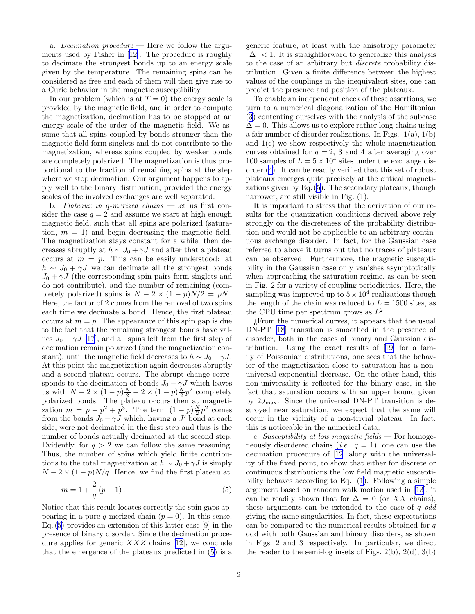<span id="page-2-0"></span>a. Decimation procedure  $-$  Here we follow the arguments used by Fisher in[[12\]](#page-3-0). The procedure is roughly to decimate the strongest bonds up to an energy scale given by the temperature. The remaining spins can be considered as free and each of them will then give rise to a Curie behavior in the magnetic susceptibility.

In our problem (which is at  $T = 0$ ) the energy scale is provided by the magnetic field, and in order to compute the magnetization, decimation has to be stopped at an energy scale of the order of the magnetic field. We assume that all spins coupled by bonds stronger than the magnetic field form singlets and do not contribute to the magnetization, whereas spins coupled by weaker bonds are completely polarized. The magnetization is thus proportional to the fraction of remaining spins at the step where we stop decimation. Our argument happens to apply well to the binary distribution, provided the energy scales of the involved exchanges are well separated.

b. Plateaux in q-merized chains —Let us first consider the case  $q = 2$  and assume we start at high enough magnetic field, such that all spins are polarized (saturation,  $m = 1$ ) and begin decreasing the magnetic field. The magnetization stays constant for a while, then decreases abruptly at  $h \sim J_0 + \gamma J$  and after that a plateau occurs at  $m = p$ . This can be easily understood: at  $h \sim J_0 + \gamma J$  we can decimate all the strongest bonds  $J_0 + \gamma J$  (the corresponding spin pairs form singlets and do not contribute), and the number of remaining (completely polarized) spins is  $N - 2 \times (1 - p)N/2 = pN$ . Here, the factor of 2 comes from the removal of two spins each time we decimate a bond. Hence, the first plateau occurs at  $m = p$ . The appearance of this spin gap is due to the fact that the remaining strongest bonds have values  $J_0 - \gamma J$  [\[17](#page-3-0)], and all spins left from the first step of decimation remain polarized (and the magnetization constant), until the magnetic field decreases to  $h \sim J_0 - \gamma J$ . At this point the magnetization again decreases abruptly and a second plateau occurs. The abrupt change corresponds to the decimation of bonds  $J_0 - \gamma J$  which leaves us with  $N-2 \times (1-p)\frac{N}{2} - 2 \times (1-p)\frac{N}{2}p^2$  completely polarized bonds. The plateau occurs then at magnetization  $m = p - p^2 + p^3$ . The term  $(1-p)\frac{N}{2}p^2$  comes from the bonds  $J_0 - \gamma J$  which, having a  $J'$  bond at each side, were not decimated in the first step and thus is the number of bonds actually decimated at the second step. Evidently, for  $q > 2$  we can follow the same reasoning. Thus, the number of spins which yield finite contributions to the total magnetization at  $h \sim J_0 + \gamma J$  is simply  $N-2\times(1-p)N/q$ . Hence, we find the first plateau at

$$
m = 1 + \frac{2}{q}(p - 1).
$$
 (5)

Notice that this result locates correctly the spin gaps appearing in a pure q-merized chain  $(p = 0)$ . In this sense, Eq. (5) provides an extension of this latter case [\[9](#page-3-0)] in the presence of binary disorder. Since the decimation procedure applies for generic  $XXZ$  chains [\[12](#page-3-0)], we conclude that the emergence of the plateaux predicted in (5) is a

generic feature, at least with the anisotropy parameter  $|\Delta|$  < 1. It is straightforward to generalize this analysis to the case of an arbitrary but discrete probability distribution. Given a finite difference between the highest values of the couplings in the inequivalent sites, one can predict the presence and position of the plateaux.

To enable an independent check of these assertions, we turn to a numerical diagonalization of the Hamiltonian ([3\)](#page-1-0) contenting ourselves with the analysis of the subcase  $\Delta = 0$ . This allows us to explore rather long chains using a fair number of disorder realizations. In Figs. 1(a), 1(b) and 1(c) we show respectively the whole magnetization curves obtained for  $q = 2$ , 3 and 4 after averaging over 100 samples of  $L = 5 \times 10^4$  sites under the exchange disorder [\(4](#page-1-0)). It can be readily verified that this set of robust plateaux emerges quite precisely at the critical magnetizations given by Eq. (5). The secondary plateaux, though narrower, are still visible in Fig. (1).

It is important to stress that the derivation of our results for the quantization conditions derived above rely strongly on the discreteness of the probability distribution and would not be applicable to an arbitrary continuous exchange disorder. In fact, for the Gaussian case referred to above it turns out that no traces of plateaux can be observed. Furthermore, the magnetic susceptibility in the Gaussian case only vanishes asymptotically when approaching the saturation regime, as can be seen in Fig. 2 for a variety of coupling periodicities. Here, the sampling was improved up to  $5 \times 10^4$  realizations though the length of the chain was reduced to  $L = 1500$  sites, as the CPU time per spectrum grows as  $L^2$ .

¿From the numerical curves, it appears that the usual DN-PT [\[18](#page-3-0)] transition is smoothed in the presence of disorder, both in the cases of binary and Gaussian distribution. Using the exact results of[[19\]](#page-3-0) for a family of Poissonian distributions, one sees that the behavior of the magnetization close to saturation has a nonuniversal exponential decrease. On the other hand, this non-universality is reflected for the binary case, in the fact that saturation occurs with an upper bound given by  $2J_{\text{max}}$ . Since the universal DN-PT transition is destroyed near saturation, we expect that the same will occur in the vicinity of a non-trivial plateau. In fact, this is noticeable in the numerical data.

c. Susceptibility at low magnetic fields  $-$  For homogeneously disordered chains (*i.e.*  $q = 1$ ), one can use the decimation procedure of [\[12](#page-3-0)] along with the universality of the fixed point, to show that either for discrete or continuous distributions the low field magnetic susceptibility behaves according to Eq. ([1\)](#page-1-0). Following a simple argument based on random walk motion used in [\[13](#page-3-0)], it can be readily shown that for  $\Delta = 0$  (or XX chains), these arguments can be extended to the case of q odd giving the same singularities. In fact, these expectations can be compared to the numerical results obtained for  $q$ odd with both Gaussian and binary disorders, as shown in Figs. 2 and 3 respectively. In particular, we direct the reader to the semi-log insets of Figs.  $2(b)$ ,  $2(d)$ ,  $3(b)$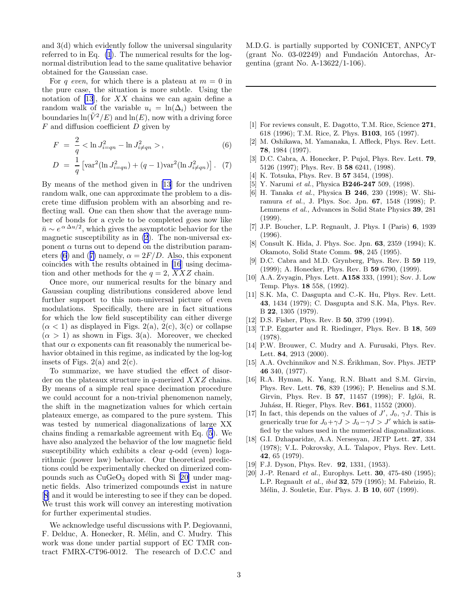<span id="page-3-0"></span>and 3(d) which evidently follow the universal singularity referred to in Eq. [\(1](#page-1-0)). The numerical results for the lognormal distribution lead to the same qualitative behavior obtained for the Gaussian case.

For q even, for which there is a plateau at  $m = 0$  in the pure case, the situation is more subtle. Using the notation of [13], for  $XX$  chains we can again define a random walk of the variable  $u_i = \ln(\Delta_i)$  between the boundaries  $ln(\tilde{V}^2/E)$  and  $ln(E)$ , now with a driving force  $F$  and diffusion coefficient  $D$  given by

$$
F = \frac{2}{q} < \ln J_{i=qn}^2 - \ln J_{i\neq qn}^2 > , \qquad (6)
$$

$$
D = \frac{1}{q} \left[ \text{var}^2(\ln J_{i=qn}^2) + (q-1) \text{var}^2(\ln J_{i\neq qn}^2) \right]. \tag{7}
$$

By means of the method given in [13] for the undriven random walk, one can approximate the problem to a discrete time diffusion problem with an absorbing and reflecting wall. One can then show that the average number of bonds for a cycle to be completed goes now like  $\bar{n} \sim e^{\alpha \Delta u/2}$ , which gives the asymptotic behavior for the magnetic susceptibility as in [\(2](#page-1-0)). The non-universal exponent  $\alpha$  turns out to depend on the distribution parameters (6) and (7) namely,  $\alpha = 2F/D$ . Also, this exponent coincides with the results obtained in [16] using decimation and other methods for the  $q = 2$ ,  $XXZ$  chain.

Once more, our numerical results for the binary and Gaussian coupling distributions considered above lend further support to this non-universal picture of even modulations. Specifically, there are in fact situations for which the low field susceptibility can either diverge  $(\alpha < 1)$  as displayed in Figs. 2(a), 2(c), 3(c) or collapse  $(\alpha > 1)$  as shown in Figs. 3(a). Moreover, we checked that our  $\alpha$  exponents can fit reasonably the numerical behavior obtained in this regime, as indicated by the log-log insets of Figs.  $2(a)$  and  $2(c)$ .

To summarize, we have studied the effect of disorder on the plateaux structure in  $q$ -merized  $XXZ$  chains. By means of a simple real space decimation procedure we could account for a non-trivial phenomenon namely, the shift in the magnetization values for which certain plateaux emerge, as compared to the pure system. This was tested by numerical diagonalizations of large XX chains finding a remarkable agreement with Eq. [\(5](#page-2-0)). We have also analyzed the behavior of the low magnetic field susceptibility which exhibits a clear  $q$ -odd (even) logarithmic (power law) behavior. Our theoretical predictions could be experimentally checked on dimerized compounds such as  $CuGeO<sub>3</sub>$  doped with Si [20] under magnetic fields. Also trimerized compounds exist in nature [8] and it would be interesting to see if they can be doped. We trust this work will convey an interesting motivation for further experimental studies.

We acknowledge useful discussions with P. Degiovanni, F. Delduc, A. Honecker, R. Mélin, and C. Mudry. This work was done under partial support of EC TMR contract FMRX-CT96-0012. The research of D.C.C and M.D.G. is partially supported by CONICET, ANPCyT  $(grant No. 03-02249)$  and Fundación Antorchas, Argentina (grant No. A-13622/1-106).

- [1] For reviews consult, E. Dagotto, T.M. Rice, Science 271, 618 (1996); T.M. Rice, Z. Phys. B103, 165 (1997).
- [2] M. Oshikawa, M. Yamanaka, I. Affleck, Phys. Rev. Lett. 78, 1984 (1997).
- [3] D.C. Cabra, A. Honecker, P. Pujol, Phys. Rev. Lett. **79**, 5126 (1997); Phys. Rev. B 58 6241, (1998).
- [4] K. Totsuka, Phys. Rev. B **57** 3454, (1998).
- [5] Y. Narumi et al., Physica **B246-247** 509, (1998).
- [6] H. Tanaka et al., Physica **B 246**, 230 (1998); W. Shiramura et al., J. Phys. Soc. Jpn. 67, 1548 (1998); P. Lemmens et al., Advances in Solid State Physics 39, 281 (1999).
- [7] J.P. Boucher, L.P. Regnault, J. Phys. I (Paris) 6, 1939 (1996).
- [8] Consult K. Hida, J. Phys. Soc. Jpn. 63, 2359 (1994); K. Okamoto, Solid State Comm. 98, 245 (1995).
- [9] D.C. Cabra and M.D. Grynberg, Phys. Rev. B 59 119, (1999); A. Honecker, Phys. Rev. B 59 6790, (1999).
- [10] A.A. Zvyagin, Phys. Lett. A158 333, (1991); Sov. J. Low Temp. Phys. 18 558, (1992).
- [11] S.K. Ma, C. Dasgupta and C.-K. Hu, Phys. Rev. Lett. 43, 1434 (1979); C. Dasgupta and S.K. Ma, Phys. Rev. B 22, 1305 (1979).
- [12] D.S. Fisher, Phys. Rev. B 50, 3799 (1994).
- [13] T.P. Eggarter and R. Riedinger, Phys. Rev. B 18, 569 (1978).
- [14] P.W. Brouwer, C. Mudry and A. Furusaki, Phys. Rev. Lett. 84, 2913 (2000).
- [15] A.A. Ovchinnikov and N.S. Erikhman, Sov. Phys. JETP 46 340, (1977).
- [16] R.A. Hyman, K. Yang, R.N. Bhatt and S.M. Girvin, Phys. Rev. Lett. 76, 839 (1996); P. Henelius and S.M. Girvin, Phys. Rev. B 57, 11457 (1998); F. Iglói, R. Juhász, H. Rieger, Phys. Rev. **B61**, 11552 (2000).
- [17] In fact, this depends on the values of  $J'$ ,  $J_0$ ,  $\gamma J$ . This is generically true for  $J_0 + \gamma J > J_0 - \gamma J > J'$  which is satisfied by the values used in the numerical diagonalizations.
- [18] G.I. Dzhaparidze, A.A. Nersesyan, JETP Lett. 27, 334 (1978); V.L. Pokrovsky, A.L. Talapov, Phys. Rev. Lett. 42, 65 (1979).
- [19] F.J. Dyson, Phys. Rev. **92**, 1331, (1953).
- [20] J.-P. Renard *et al.*, Europhys. Lett. **30**, 475-480 (1995); L.P. Regnault et al., ibid 32, 579 (1995); M. Fabrizio, R. Mélin, J. Souletie, Eur. Phys. J. **B 10**, 607 (1999).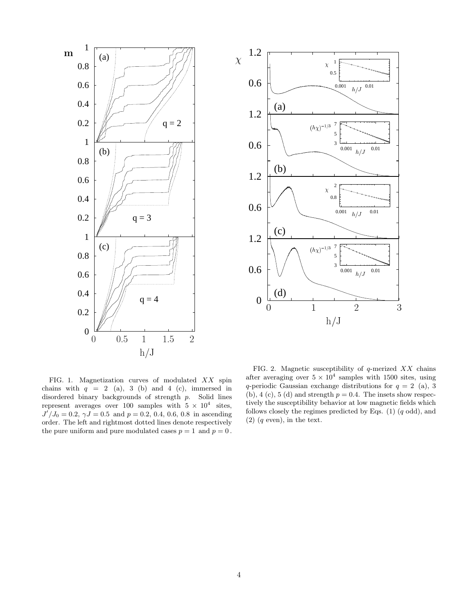



FIG. 1. Magnetization curves of modulated XX spin chains with  $q = 2$  (a), 3 (b) and 4 (c), immersed in disordered binary backgrounds of strength p. Solid lines represent averages over 100 samples with  $5 \times 10^4$  sites,  $J^{7}/J_0 = 0.2, \gamma J = 0.5$  and  $p = 0.2, 0.4, 0.6, 0.8$  in ascending order. The left and rightmost dotted lines denote respectively the pure uniform and pure modulated cases  $p = 1$  and  $p = 0$ .

FIG. 2. Magnetic susceptibility of  $q$ -merized  $XX$  chains after averaging over  $5 \times 10^4$  samples with 1500 sites, using q-periodic Gaussian exchange distributions for  $q = 2$  (a), 3 (b), 4 (c), 5 (d) and strength  $p = 0.4$ . The insets show respectively the susceptibility behavior at low magnetic fields which follows closely the regimes predicted by Eqs.  $(1)$   $(q \text{ odd})$ , and  $(2)$   $(q \text{ even}),$  in the text.